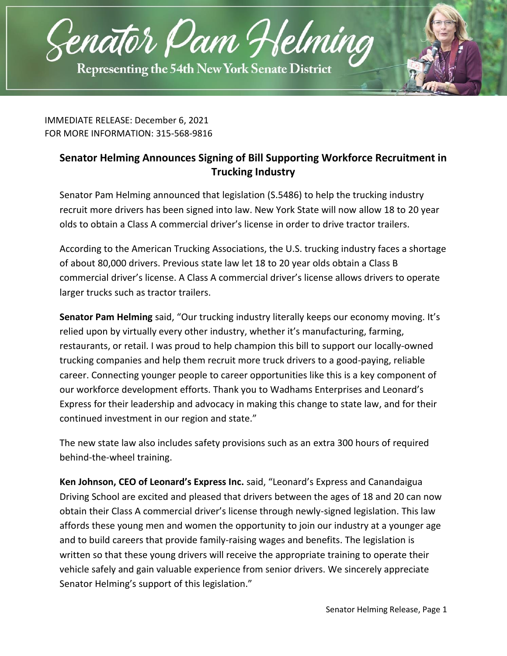

IMMEDIATE RELEASE: December 6, 2021 FOR MORE INFORMATION: 315-568-9816

## **Senator Helming Announces Signing of Bill Supporting Workforce Recruitment in Trucking Industry**

Senator Pam Helming announced that legislation [\(S.5486\)](https://www.nysenate.gov/legislation/bills/2021/s5486/amendment/original) to help the trucking industry recruit more drivers has been signed into law. New York State will now allow 18 to 20 year olds to obtain a Class A commercial driver's license in order to drive tractor trailers.

According to the American Trucking Associations, the U.S. trucking industry faces a shortage of about 80,000 drivers. Previous state law let 18 to 20 year olds obtain a Class B commercial driver's license. A Class A commercial driver's license allows drivers to operate larger trucks such as tractor trailers.

**Senator Pam Helming** said, "Our trucking industry literally keeps our economy moving. It's relied upon by virtually every other industry, whether it's manufacturing, farming, restaurants, or retail. I was proud to help champion this bill to support our locally-owned trucking companies and help them recruit more truck drivers to a good-paying, reliable career. Connecting younger people to career opportunities like this is a key component of our workforce development efforts. Thank you to Wadhams Enterprises and Leonard's Express for their leadership and advocacy in making this change to state law, and for their continued investment in our region and state."

The new state law also includes safety provisions such as an extra 300 hours of required behind-the-wheel training.

**Ken Johnson, CEO of Leonard's Express Inc.** said, "Leonard's Express and Canandaigua Driving School are excited and pleased that drivers between the ages of 18 and 20 can now obtain their Class A commercial driver's license through newly-signed legislation. This law affords these young men and women the opportunity to join our industry at a younger age and to build careers that provide family-raising wages and benefits. The legislation is written so that these young drivers will receive the appropriate training to operate their vehicle safely and gain valuable experience from senior drivers. We sincerely appreciate Senator Helming's support of this legislation."